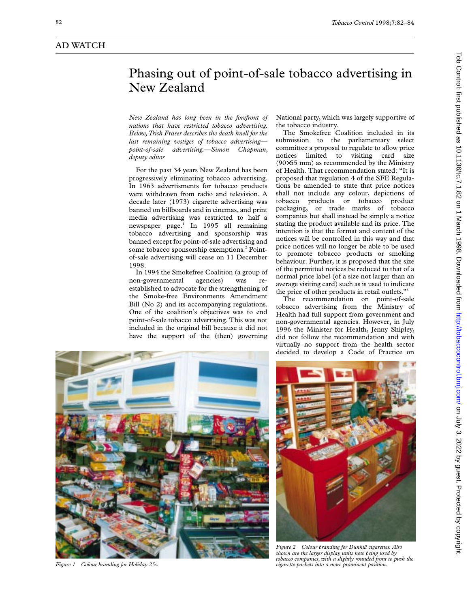## Phasing out of point-of-sale tobacco advertising in New Zealand

*New Zealand has long been in the forefront of nations that have restricted tobacco advertising. Below, Trish Fraser describes the death knell for the last remaining vestiges of tobacco advertising point-of-sale advertising.—Simon Chapman, deputy editor*

For the past 34 years New Zealand has been progressively eliminating tobacco advertising. In 1963 advertisments for tobacco products were withdrawn from radio and television. A decade later (1973) cigarette advertising was banned on billboards and in cinemas, and print media advertising was restricted to half a newspaper page.<sup>1</sup> In 1995 all remaining tobacco advertising and sponsorship was banned except for point-of-sale advertising and some tobacco sponsorship exemptions.<sup>2</sup> Pointof-sale advertising will cease on 11 December 1998.

In 1994 the Smokefree Coalition (a group of non-governmental agencies) was reestablished to advocate for the strengthening of the Smoke-free Environments Amendment Bill (No 2) and its accompanying regulations. One of the coalition's objectives was to end point-of-sale tobacco advertising. This was not included in the original bill because it did not have the support of the (then) governing

National party, which was largely supportive of the tobacco industry.

The Smokefree Coalition included in its submission to the parliamentary select committee a proposal to regulate to allow price notices limited to visiting card size (90×55 mm) as recommended by the Ministry of Health. That recommendation stated: "It is proposed that regulation 4 of the SFE Regulations be amended to state that price notices shall not include any colour, depictions of tobacco products or tobacco product packaging, or trade marks of tobacco companies but shall instead be simply a notice stating the product available and its price. The intention is that the format and content of the notices will be controlled in this way and that price notices will no longer be able to be used to promote tobacco products or smoking behaviour. Further, it is proposed that the size of the permitted notices be reduced to that of a normal price label (of a size not larger than an average visiting card) such as is used to indicate the price of other products in retail outlets."<sup>3</sup>

The recommendation on point-of-sale tobacco advertising from the Ministry of Health had full support from government and non-governmental agencies. However, in July 1996 the Minister for Health, Jenny Shipley, did not follow the recommendation and with virtually no support from the health sector decided to develop a Code of Practice on



*Figure 1 Colour branding for Holiday 25s.*



*Figure 2 Colour branding for Dunhill cigarettes. Also shown are the larger display units now being used by tobacco companies, with a slightly rounded front to push the cigarette packets into a more prominent position.*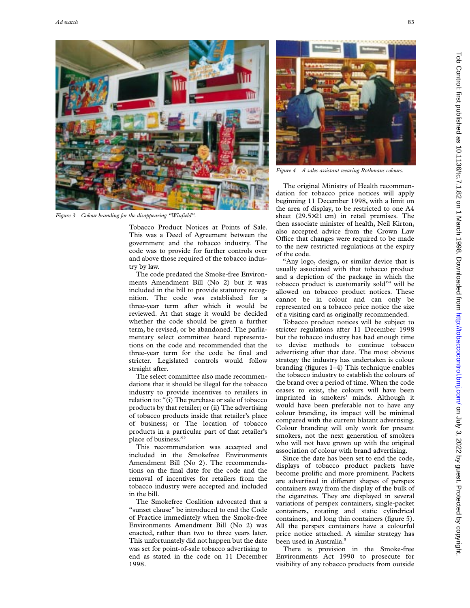

*Figure 3 Colour branding for the disappearing "Winfield".*

Tobacco Product Notices at Points of Sale. This was a Deed of Agreement between the government and the tobacco industry. The code was to provide for further controls over and above those required of the tobacco industry by law.

The code predated the Smoke-free Environments Amendment Bill (No 2) but it was included in the bill to provide statutory recognition. The code was established for a three-year term after which it would be reviewed. At that stage it would be decided whether the code should be given a further term, be revised, or be abandoned. The parliamentary select committee heard representations on the code and recommended that the three-year term for the code be final and stricter. Legislated controls would follow straight after.

The select committee also made recommendations that it should be illegal for the tobacco industry to provide incentives to retailers in relation to: "(i) The purchase or sale of tobacco products by that retailer; or (ii) The advertising of tobacco products inside that retailer's place of business; or The location of tobacco products in a particular part of that retailer's place of business."3

This recommendation was accepted and included in the Smokefree Environments Amendment Bill (No 2). The recommendations on the final date for the code and the removal of incentives for retailers from the tobacco industry were accepted and included in the bill.

The Smokefree Coalition advocated that a "sunset clause" be introduced to end the Code of Practice immediately when the Smoke-free Environments Amendment Bill (No 2) was enacted, rather than two to three years later. This unfortunately did not happen but the date was set for point-of-sale tobacco advertising to end as stated in the code on 11 December 1998.



*Figure 4 A sales assistant wearing Rothmans colours.*

The original Ministry of Health recommendation for tobacco price notices will apply beginning 11 December 1998, with a limit on the area of display, to be restricted to one A4 sheet (29.5×21 cm) in retail premises. The then associate minister of health, Neil Kirton, also accepted advice from the Crown Law Office that changes were required to be made to the new restricted regulations at the expiry of the code.

"Any logo, design, or similar device that is usually associated with that tobacco product and a depiction of the package in which the tobacco product is customarily sold"<sup>4</sup> will be allowed on tobacco product notices. These cannot be in colour and can only be represented on a tobacco price notice the size of a visiting card as originally recommended.

Tobacco product notices will be subject to stricter regulations after 11 December 1998 but the tobacco industry has had enough time to devise methods to continue tobacco advertising after that date. The most obvious strategy the industry has undertaken is colour branding (figures 1–4) This technique enables the tobacco industry to establish the colours of the brand over a period of time. When the code ceases to exist, the colours will have been imprinted in smokers' minds. Although it would have been preferable not to have any colour branding, its impact will be minimal compared with the current blatant advertising. Colour branding will only work for present smokers, not the next generation of smokers who will not have grown up with the original association of colour with brand advertising.

Since the date has been set to end the code, displays of tobacco product packets have become prolific and more prominent. Packets are advertised in different shapes of perspex containers away from the display of the bulk of the cigarettes. They are displayed in several variations of perspex containers, single-packet containers, rotating and static cylindrical containers, and long thin containers (figure 5). All the perspex containers have a colourful price notice attached. A similar strategy has been used in Australia.<sup>5</sup>

There is provision in the Smoke-free Environments Act 1990 to prosecute for visibility of any tobacco products from outside